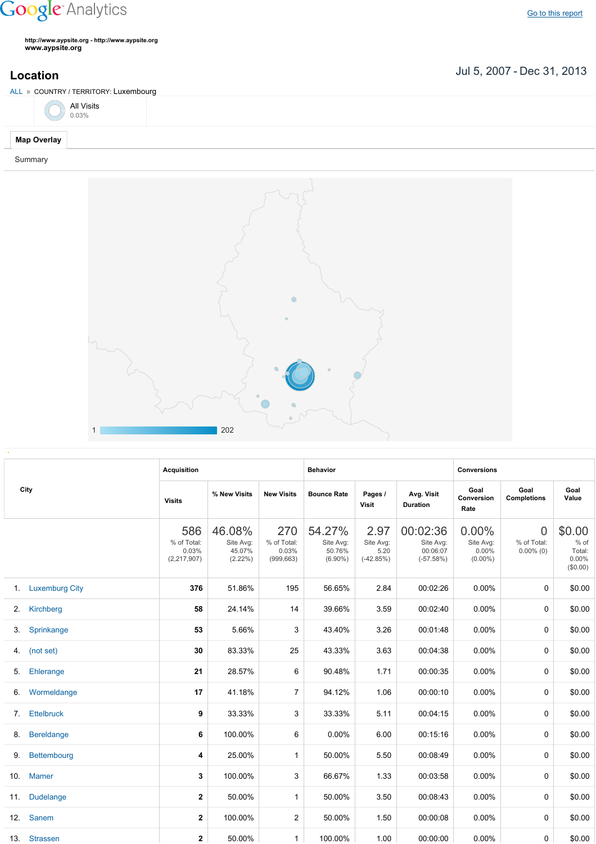## **Google** Analytics

**http://www.aypsite.org http://www.aypsite.org www.aypsite.org**

## Jul 5, 2007 Dec 31, 2013 **Location**

ALL » COUNTRY / TERRITORY: Luxembourg **Map Overlay** Summary All Visits 0.03%



|     | City              | <b>Acquisition</b>                         |                                             |                                           | <b>Behavior</b>                             |                                          |                                                  | <b>Conversions</b>                           |                                               |                                                    |
|-----|-------------------|--------------------------------------------|---------------------------------------------|-------------------------------------------|---------------------------------------------|------------------------------------------|--------------------------------------------------|----------------------------------------------|-----------------------------------------------|----------------------------------------------------|
|     |                   | <b>Visits</b>                              | % New Visits                                | <b>New Visits</b>                         | <b>Bounce Rate</b>                          | Pages /<br>Visit                         | Avg. Visit<br><b>Duration</b>                    | Goal<br>Conversion<br>Rate                   | Goal<br><b>Completions</b>                    | Goal<br>Value                                      |
|     |                   | 586<br>% of Total:<br>0.03%<br>(2,217,907) | 46.08%<br>Site Avg:<br>45.07%<br>$(2.22\%)$ | 270<br>% of Total:<br>0.03%<br>(999, 663) | 54.27%<br>Site Avg:<br>50.76%<br>$(6.90\%)$ | 2.97<br>Site Avg:<br>5.20<br>$(-42.85%)$ | 00:02:36<br>Site Avg:<br>00:06:07<br>$(-57.58%)$ | 0.00%<br>Site Avg:<br>$0.00\%$<br>$(0.00\%)$ | $\overline{0}$<br>% of Total:<br>$0.00\%$ (0) | \$0.00<br>$%$ of<br>Total:<br>$0.00\%$<br>(\$0.00) |
|     | 1. Luxemburg City | 376                                        | 51.86%                                      | 195                                       | 56.65%                                      | 2.84                                     | 00:02:26                                         | 0.00%                                        | $\Omega$                                      | \$0.00                                             |
| 2.  | Kirchberg         | 58                                         | 24.14%                                      | 14                                        | 39.66%                                      | 3.59                                     | 00:02:40                                         | 0.00%                                        | 0                                             | \$0.00                                             |
| 3.  | Sprinkange        | 53                                         | 5.66%                                       | 3                                         | 43.40%                                      | 3.26                                     | 00:01:48                                         | 0.00%                                        | 0                                             | \$0.00                                             |
|     | 4. (not set)      | 30                                         | 83.33%                                      | 25                                        | 43.33%                                      | 3.63                                     | 00:04:38                                         | 0.00%                                        | 0                                             | \$0.00                                             |
| 5.  | Ehlerange         | 21                                         | 28.57%                                      | 6                                         | 90.48%                                      | 1.71                                     | 00:00:35                                         | 0.00%                                        | $\mathbf 0$                                   | \$0.00                                             |
| 6.  | Wormeldange       | 17                                         | 41.18%                                      | $\overline{7}$                            | 94.12%                                      | 1.06                                     | 00:00:10                                         | 0.00%                                        | 0                                             | \$0.00                                             |
| 7.  | <b>Ettelbruck</b> | 9                                          | 33.33%                                      | 3                                         | 33.33%                                      | 5.11                                     | 00:04:15                                         | 0.00%                                        | 0                                             | \$0.00                                             |
| 8.  | <b>Bereldange</b> | 6                                          | 100.00%                                     | 6                                         | 0.00%                                       | 6.00                                     | 00:15:16                                         | 0.00%                                        | 0                                             | \$0.00                                             |
| 9.  | Bettembourg       | 4                                          | 25.00%                                      | $\mathbf{1}$                              | 50.00%                                      | 5.50                                     | 00:08:49                                         | 0.00%                                        | 0                                             | \$0.00                                             |
| 10. | <b>Mamer</b>      | 3                                          | 100.00%                                     | 3                                         | 66.67%                                      | 1.33                                     | 00:03:58                                         | 0.00%                                        | 0                                             | \$0.00                                             |
| 11. | <b>Dudelange</b>  | $\mathbf{2}$                               | 50.00%                                      | $\mathbf{1}$                              | 50.00%                                      | 3.50                                     | 00:08:43                                         | 0.00%                                        | 0                                             | \$0.00                                             |
|     | 12. Sanem         | 2                                          | 100.00%                                     | 2                                         | 50.00%                                      | 1.50                                     | 00:00:08                                         | $0.00\%$                                     | 0                                             | \$0.00                                             |
|     | 13. Strassen      | $\mathbf{2}$                               | 50.00%                                      | $\mathbf{1}$                              | 100.00%                                     | 1.00                                     | 00:00:00                                         | 0.00%                                        | 0                                             | \$0.00                                             |